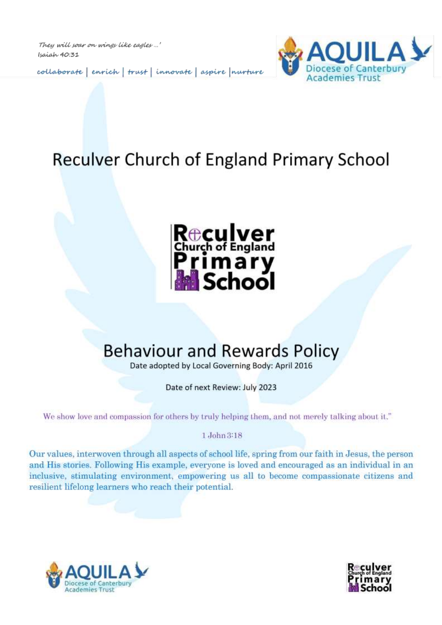They will soar on wings like eagles ...' Isaiah 40:31

collaborate | enrich | trust | innovate | aspire | nurture



## Reculver Church of England Primary School



# **Behaviour and Rewards Policy**

Date adopted by Local Governing Body: April 2016

Date of next Review: July 2023

We show love and compassion for others by truly helping them, and not merely talking about it."

1 John 3:18

Our values, interwoven through all aspects of school life, spring from our faith in Jesus, the person and His stories. Following His example, everyone is loved and encouraged as an individual in an inclusive, stimulating environment, empowering us all to become compassionate citizens and resilient lifelong learners who reach their potential.



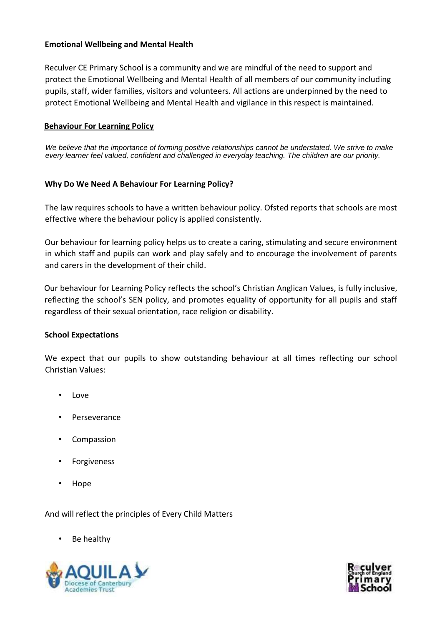#### **Emotional Wellbeing and Mental Health**

Reculver CE Primary School is a community and we are mindful of the need to support and protect the Emotional Wellbeing and Mental Health of all members of our community including pupils, staff, wider families, visitors and volunteers. All actions are underpinned by the need to protect Emotional Wellbeing and Mental Health and vigilance in this respect is maintained.

#### **Behaviour For Learning Policy**

*We believe that the importance of forming positive relationships cannot be understated. We strive to make every learner feel valued, confident and challenged in everyday teaching. The children are our priority.* 

#### **Why Do We Need A Behaviour For Learning Policy?**

The law requires schools to have a written behaviour policy. Ofsted reports that schools are most effective where the behaviour policy is applied consistently.

Our behaviour for learning policy helps us to create a caring, stimulating and secure environment in which staff and pupils can work and play safely and to encourage the involvement of parents and carers in the development of their child.

Our behaviour for Learning Policy reflects the school's Christian Anglican Values, is fully inclusive, reflecting the school's SEN policy, and promotes equality of opportunity for all pupils and staff regardless of their sexual orientation, race religion or disability.

#### **School Expectations**

We expect that our pupils to show outstanding behaviour at all times reflecting our school Christian Values:

- Love
- **Perseverance**
- **Compassion**
- **Forgiveness**
- Hope

And will reflect the principles of Every Child Matters

Be healthy



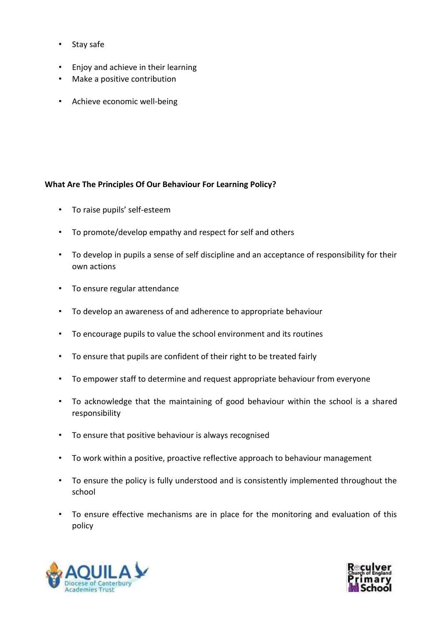- Stay safe
- Enjoy and achieve in their learning
- Make a positive contribution
- Achieve economic well-being

#### **What Are The Principles Of Our Behaviour For Learning Policy?**

- To raise pupils' self-esteem
- To promote/develop empathy and respect for self and others
- To develop in pupils a sense of self discipline and an acceptance of responsibility for their own actions
- To ensure regular attendance
- To develop an awareness of and adherence to appropriate behaviour
- To encourage pupils to value the school environment and its routines
- To ensure that pupils are confident of their right to be treated fairly
- To empower staff to determine and request appropriate behaviour from everyone
- To acknowledge that the maintaining of good behaviour within the school is a shared responsibility
- To ensure that positive behaviour is always recognised
- To work within a positive, proactive reflective approach to behaviour management
- To ensure the policy is fully understood and is consistently implemented throughout the school
- To ensure effective mechanisms are in place for the monitoring and evaluation of this policy



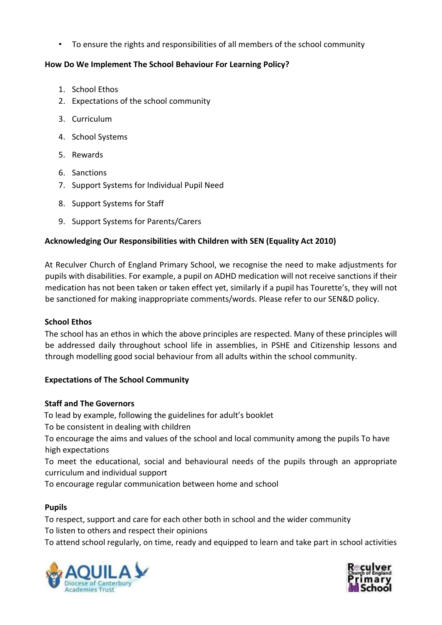• To ensure the rights and responsibilities of all members of the school community

## **How Do We Implement The School Behaviour For Learning Policy?**

- 1. School Ethos
- 2. Expectations of the school community
- 3. Curriculum
- 4. School Systems
- 5. Rewards
- 6. Sanctions
- 7. Support Systems for Individual Pupil Need
- 8. Support Systems for Staff
- 9. Support Systems for Parents/Carers

## **Acknowledging Our Responsibilities with Children with SEN (Equality Act 2010)**

At Reculver Church of England Primary School, we recognise the need to make adjustments for pupils with disabilities. For example, a pupil on ADHD medication will not receive sanctions if their medication has not been taken or taken effect yet, similarly if a pupil has Tourette's, they will not be sanctioned for making inappropriate comments/words. Please refer to our SEN&D policy.

#### **School Ethos**

The school has an ethos in which the above principles are respected. Many of these principles will be addressed daily throughout school life in assemblies, in PSHE and Citizenship lessons and through modelling good social behaviour from all adults within the school community.

#### **Expectations of The School Community**

#### **Staff and The Governors**

To lead by example, following the guidelines for adult's booklet

To be consistent in dealing with children

To encourage the aims and values of the school and local community among the pupils To have high expectations

To meet the educational, social and behavioural needs of the pupils through an appropriate curriculum and individual support

To encourage regular communication between home and school

## **Pupils**

To respect, support and care for each other both in school and the wider community To listen to others and respect their opinions

To attend school regularly, on time, ready and equipped to learn and take part in school activities



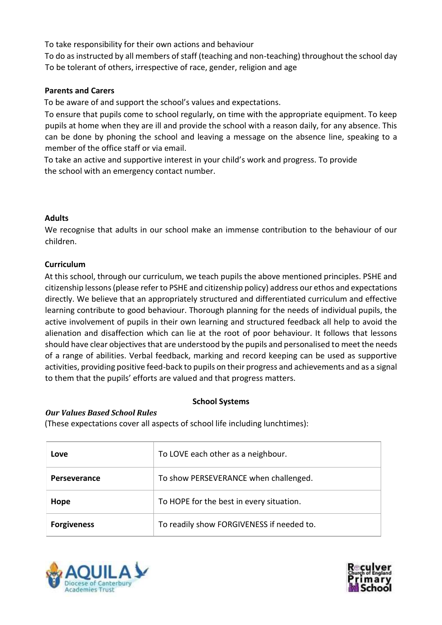To take responsibility for their own actions and behaviour

To do as instructed by all members of staff (teaching and non-teaching) throughout the school day To be tolerant of others, irrespective of race, gender, religion and age

#### **Parents and Carers**

To be aware of and support the school's values and expectations.

To ensure that pupils come to school regularly, on time with the appropriate equipment. To keep pupils at home when they are ill and provide the school with a reason daily, for any absence. This can be done by phoning the school and leaving a message on the absence line, speaking to a member of the office staff or via email.

To take an active and supportive interest in your child's work and progress. To provide the school with an emergency contact number.

#### **Adults**

We recognise that adults in our school make an immense contribution to the behaviour of our children.

#### **Curriculum**

At this school, through our curriculum, we teach pupils the above mentioned principles. PSHE and citizenship lessons (please refer to PSHE and citizenship policy) address our ethos and expectations directly. We believe that an appropriately structured and differentiated curriculum and effective learning contribute to good behaviour. Thorough planning for the needs of individual pupils, the active involvement of pupils in their own learning and structured feedback all help to avoid the alienation and disaffection which can lie at the root of poor behaviour. It follows that lessons should have clear objectives that are understood by the pupils and personalised to meet the needs of a range of abilities. Verbal feedback, marking and record keeping can be used as supportive activities, providing positive feed-back to pupils on their progress and achievements and as a signal to them that the pupils' efforts are valued and that progress matters.

#### **School Systems**

#### *Our Values Based School Rules*

(These expectations cover all aspects of school life including lunchtimes):

| Love                | To LOVE each other as a neighbour.        |  |
|---------------------|-------------------------------------------|--|
| <b>Perseverance</b> | To show PERSEVERANCE when challenged.     |  |
| Hope                | To HOPE for the best in every situation.  |  |
| <b>Forgiveness</b>  | To readily show FORGIVENESS if needed to. |  |



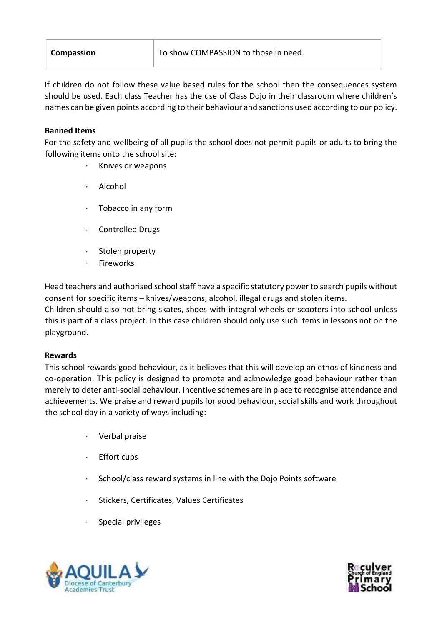| <b>Compassion</b> |
|-------------------|
|-------------------|

If children do not follow these value based rules for the school then the consequences system should be used. Each class Teacher has the use of Class Dojo in their classroom where children's names can be given points according to their behaviour and sanctions used according to our policy.

#### **Banned Items**

For the safety and wellbeing of all pupils the school does not permit pupils or adults to bring the following items onto the school site:

- · Knives or weapons
- · Alcohol
- · Tobacco in any form
- · Controlled Drugs
- Stolen property
- · Fireworks

Head teachers and authorised school staff have a specific statutory power to search pupils without consent for specific items – knives/weapons, alcohol, illegal drugs and stolen items. Children should also not bring skates, shoes with integral wheels or scooters into school unless this is part of a class project. In this case children should only use such items in lessons not on the playground.

#### **Rewards**

This school rewards good behaviour, as it believes that this will develop an ethos of kindness and co-operation. This policy is designed to promote and acknowledge good behaviour rather than merely to deter anti-social behaviour. Incentive schemes are in place to recognise attendance and achievements. We praise and reward pupils for good behaviour, social skills and work throughout the school day in a variety of ways including:

- · Verbal praise
- · Effort cups
- School/class reward systems in line with the Dojo Points software
- · Stickers, Certificates, Values Certificates
- · Special privileges



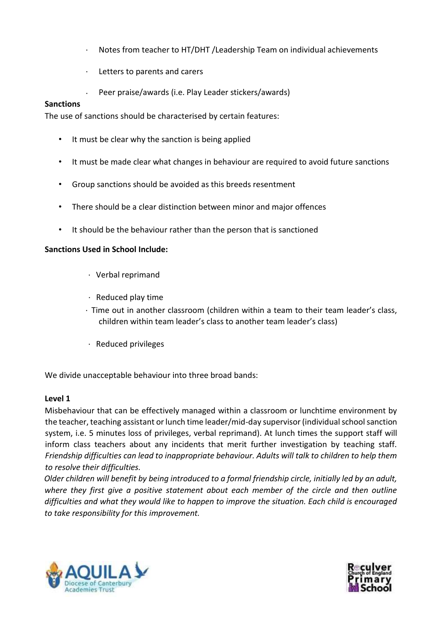- · Notes from teacher to HT/DHT /Leadership Team on individual achievements
- · Letters to parents and carers
- Peer praise/awards (i.e. Play Leader stickers/awards)

#### **Sanctions**

The use of sanctions should be characterised by certain features:

- It must be clear why the sanction is being applied
- It must be made clear what changes in behaviour are required to avoid future sanctions
- Group sanctions should be avoided as this breeds resentment
- There should be a clear distinction between minor and major offences
- It should be the behaviour rather than the person that is sanctioned

#### **Sanctions Used in School Include:**

- · Verbal reprimand
- · Reduced play time
- · Time out in another classroom (children within a team to their team leader's class, children within team leader's class to another team leader's class)
- · Reduced privileges

We divide unacceptable behaviour into three broad bands:

#### **Level 1**

Misbehaviour that can be effectively managed within a classroom or lunchtime environment by the teacher, teaching assistant or lunch time leader/mid-day supervisor (individual school sanction system, i.e. 5 minutes loss of privileges, verbal reprimand). At lunch times the support staff will inform class teachers about any incidents that merit further investigation by teaching staff. *Friendship difficulties can lead to inappropriate behaviour. Adults will talk to children to help them to resolve their difficulties.* 

*Older children will benefit by being introduced to a formal friendship circle, initially led by an adult, where they first give a positive statement about each member of the circle and then outline difficulties and what they would like to happen to improve the situation. Each child is encouraged to take responsibility for this improvement.* 



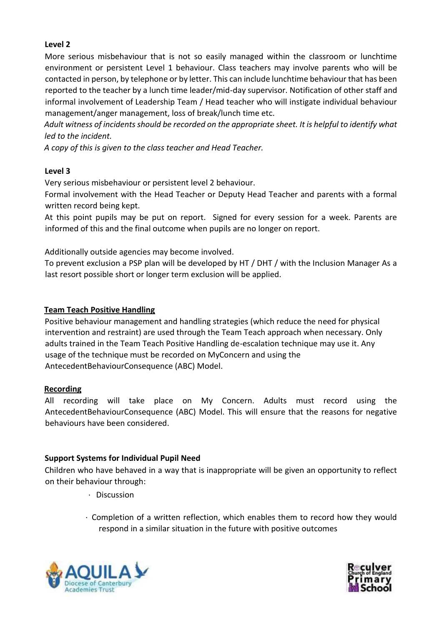## **Level 2**

More serious misbehaviour that is not so easily managed within the classroom or lunchtime environment or persistent Level 1 behaviour. Class teachers may involve parents who will be contacted in person, by telephone or by letter. This can include lunchtime behaviour that has been reported to the teacher by a lunch time leader/mid-day supervisor. Notification of other staff and informal involvement of Leadership Team / Head teacher who will instigate individual behaviour management/anger management, loss of break/lunch time etc.

*Adult witness of incidents should be recorded on the appropriate sheet. It is helpful to identify what led to the incident.* 

*A copy of this is given to the class teacher and Head Teacher.* 

#### **Level 3**

Very serious misbehaviour or persistent level 2 behaviour.

Formal involvement with the Head Teacher or Deputy Head Teacher and parents with a formal written record being kept.

At this point pupils may be put on report. Signed for every session for a week. Parents are informed of this and the final outcome when pupils are no longer on report.

Additionally outside agencies may become involved.

To prevent exclusion a PSP plan will be developed by HT / DHT / with the Inclusion Manager As a last resort possible short or longer term exclusion will be applied.

#### **Team Teach Positive Handling**

Positive behaviour management and handling strategies (which reduce the need for physical intervention and restraint) are used through the Team Teach approach when necessary. Only adults trained in the Team Teach Positive Handling de-escalation technique may use it. Any usage of the technique must be recorded on MyConcern and using the AntecedentBehaviourConsequence (ABC) Model.

#### **Recording**

All recording will take place on My Concern. Adults must record using the AntecedentBehaviourConsequence (ABC) Model. This will ensure that the reasons for negative behaviours have been considered.

#### **Support Systems for Individual Pupil Need**

Children who have behaved in a way that is inappropriate will be given an opportunity to reflect on their behaviour through:

- · Discussion
- · Completion of a written reflection, which enables them to record how they would respond in a similar situation in the future with positive outcomes



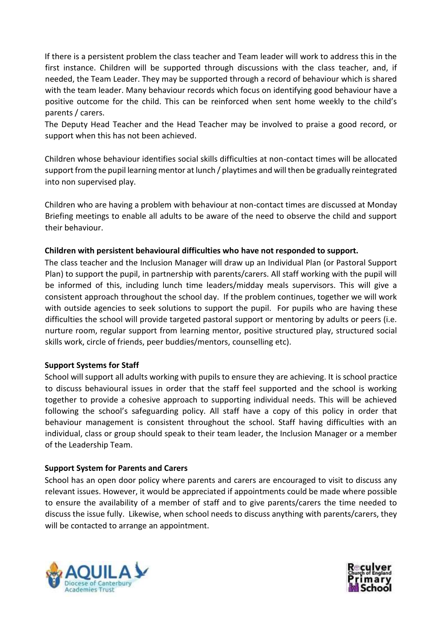If there is a persistent problem the class teacher and Team leader will work to address this in the first instance. Children will be supported through discussions with the class teacher, and, if needed, the Team Leader. They may be supported through a record of behaviour which is shared with the team leader. Many behaviour records which focus on identifying good behaviour have a positive outcome for the child. This can be reinforced when sent home weekly to the child's parents / carers.

The Deputy Head Teacher and the Head Teacher may be involved to praise a good record, or support when this has not been achieved.

Children whose behaviour identifies social skills difficulties at non-contact times will be allocated support from the pupil learning mentor at lunch / playtimes and will then be gradually reintegrated into non supervised play.

Children who are having a problem with behaviour at non-contact times are discussed at Monday Briefing meetings to enable all adults to be aware of the need to observe the child and support their behaviour.

## **Children with persistent behavioural difficulties who have not responded to support.**

The class teacher and the Inclusion Manager will draw up an Individual Plan (or Pastoral Support Plan) to support the pupil, in partnership with parents/carers. All staff working with the pupil will be informed of this, including lunch time leaders/midday meals supervisors. This will give a consistent approach throughout the school day. If the problem continues, together we will work with outside agencies to seek solutions to support the pupil. For pupils who are having these difficulties the school will provide targeted pastoral support or mentoring by adults or peers (i.e. nurture room, regular support from learning mentor, positive structured play, structured social skills work, circle of friends, peer buddies/mentors, counselling etc).

#### **Support Systems for Staff**

School will support all adults working with pupils to ensure they are achieving. It is school practice to discuss behavioural issues in order that the staff feel supported and the school is working together to provide a cohesive approach to supporting individual needs. This will be achieved following the school's safeguarding policy. All staff have a copy of this policy in order that behaviour management is consistent throughout the school. Staff having difficulties with an individual, class or group should speak to their team leader, the Inclusion Manager or a member of the Leadership Team.

#### **Support System for Parents and Carers**

School has an open door policy where parents and carers are encouraged to visit to discuss any relevant issues. However, it would be appreciated if appointments could be made where possible to ensure the availability of a member of staff and to give parents/carers the time needed to discuss the issue fully. Likewise, when school needs to discuss anything with parents/carers, they will be contacted to arrange an appointment.



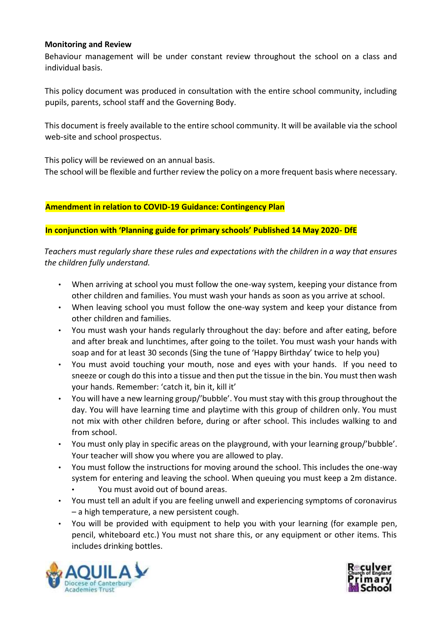#### **Monitoring and Review**

Behaviour management will be under constant review throughout the school on a class and individual basis.

This policy document was produced in consultation with the entire school community, including pupils, parents, school staff and the Governing Body.

This document is freely available to the entire school community. It will be available via the school web-site and school prospectus.

This policy will be reviewed on an annual basis.

The school will be flexible and further review the policy on a more frequent basis where necessary.

#### **Amendment in relation to COVID-19 Guidance: Contingency Plan**

#### **In conjunction with 'Planning guide for primary schools' Published 14 May 2020- DfE**

*Teachers must regularly share these rules and expectations with the children in a way that ensures the children fully understand.* 

- When arriving at school you must follow the one-way system, keeping your distance from other children and families. You must wash your hands as soon as you arrive at school.
- When leaving school you must follow the one-way system and keep your distance from other children and families.
- You must wash your hands regularly throughout the day: before and after eating, before and after break and lunchtimes, after going to the toilet. You must wash your hands with soap and for at least 30 seconds (Sing the tune of 'Happy Birthday' twice to help you)
- You must avoid touching your mouth, nose and eyes with your hands. If you need to sneeze or cough do this into a tissue and then put the tissue in the bin. You must then wash your hands. Remember: 'catch it, bin it, kill it'
- You will have a new learning group/'bubble'. You must stay with this group throughout the day. You will have learning time and playtime with this group of children only. You must not mix with other children before, during or after school. This includes walking to and from school.
- You must only play in specific areas on the playground, with your learning group/'bubble'. Your teacher will show you where you are allowed to play.
- You must follow the instructions for moving around the school. This includes the one-way system for entering and leaving the school. When queuing you must keep a 2m distance.
	- You must avoid out of bound areas.
- You must tell an adult if you are feeling unwell and experiencing symptoms of coronavirus – a high temperature, a new persistent cough.
- You will be provided with equipment to help you with your learning (for example pen, pencil, whiteboard etc.) You must not share this, or any equipment or other items. This includes drinking bottles.